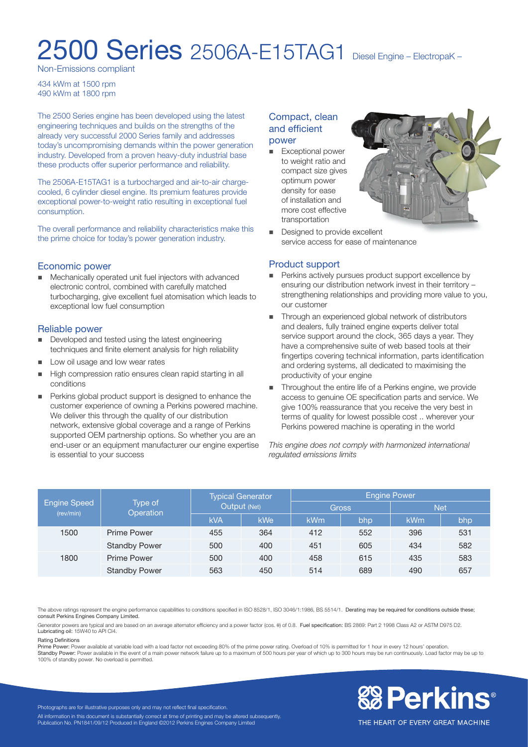# 2500 Series 2506A-E15TAG1 Diesel Engine – ElectropaK –

Non-Emissions compliant

434 kWm at 1500 rpm 490 kWm at 1800 rpm

The 2500 Series engine has been developed using the latest engineering techniques and builds on the strengths of the already very successful 2000 Series family and addresses today's uncompromising demands within the power generation industry. Developed from a proven heavy-duty industrial base these products offer superior performance and reliability.

The 2506A-E15TAG1 is a turbocharged and air-to-air chargecooled, 6 cylinder diesel engine. Its premium features provide exceptional power-to-weight ratio resulting in exceptional fuel consumption.

The overall performance and reliability characteristics make this the prime choice for today's power generation industry.

#### Economic power

■ Mechanically operated unit fuel injectors with advanced electronic control, combined with carefully matched turbocharging, give excellent fuel atomisation which leads to exceptional low fuel consumption

#### Reliable power

- **n** Developed and tested using the latest engineering techniques and finite element analysis for high reliability
- **n** Low oil usage and low wear rates
- n High compression ratio ensures clean rapid starting in all conditions
- Perkins global product support is designed to enhance the customer experience of owning a Perkins powered machine. We deliver this through the quality of our distribution network, extensive global coverage and a range of Perkins supported OEM partnership options. So whether you are an end-user or an equipment manufacturer our engine expertise is essential to your success

### Compact, clean and efficient power

**Exceptional power** to weight ratio and compact size gives optimum power density for ease of installation and more cost effective transportation



Designed to provide excellent service access for ease of maintenance

#### Product support

- **Perkins actively pursues product support excellence by** ensuring our distribution network invest in their territory – strengthening relationships and providing more value to you, our customer
- Through an experienced global network of distributors and dealers, fully trained engine experts deliver total service support around the clock, 365 days a year. They have a comprehensive suite of web based tools at their fingertips covering technical information, parts identification and ordering systems, all dedicated to maximising the productivity of your engine
- Throughout the entire life of a Perkins engine, we provide access to genuine OE specification parts and service. We give 100% reassurance that you receive the very best in terms of quality for lowest possible cost .. wherever your Perkins powered machine is operating in the world

*This engine does not comply with harmonized international regulated emissions limits*

| <b>Engine Speed</b><br>(rev/min) | Type of<br>Operation | <b>Typical Generator</b><br>Output (Net) |            | <b>Engine Power</b> |     |     |     |
|----------------------------------|----------------------|------------------------------------------|------------|---------------------|-----|-----|-----|
|                                  |                      |                                          |            | <b>Gross</b>        |     | Net |     |
|                                  |                      | <b>kVA</b>                               | <b>kWe</b> | kWm                 | bhp | kWm | bhp |
| 1500                             | <b>Prime Power</b>   | 455                                      | 364        | 412                 | 552 | 396 | 531 |
|                                  | <b>Standby Power</b> | 500                                      | 400        | 451                 | 605 | 434 | 582 |
| 1800                             | <b>Prime Power</b>   | 500                                      | 400        | 458                 | 615 | 435 | 583 |
|                                  | <b>Standby Power</b> | 563                                      | 450        | 514                 | 689 | 490 | 657 |

The above ratings represent the engine performance capabilities to conditions specified in ISO 8528/1, ISO 3046/1:1986, BS 5514/1. Derating may be required for conditions outside these; consult Perkins Engines Company Limited.

Generator powers are typical and are based on an average alternator efficiency and a power factor (cos. θ) of 0.8. Fuel specification: BS 2869: Part 2 1998 Class A2 or ASTM D975 D2. Lubricating oil: 15W40 to API CI4.

#### Rating Definitions

Prime Power: Power available at variable load with a load factor not exceeding 80% of the prime power rating. Overload of 10% is permitted for 1 hour in every 12 hours' operation. Standby Power: Power available in the event of a main power network failure up to a maximum of 500 hours per year of which up to 300 hours may be run continuously. Load factor may be up to 100% of standby power. No overload is permitted.



Photographs are for illustrative purposes only and may not reflect final specification. All information in this document is substantially correct at time of printing and may be altered subsequently. Publication No. PN1841/09/12 Produced in England ©2012 Perkins Engines Company Limited